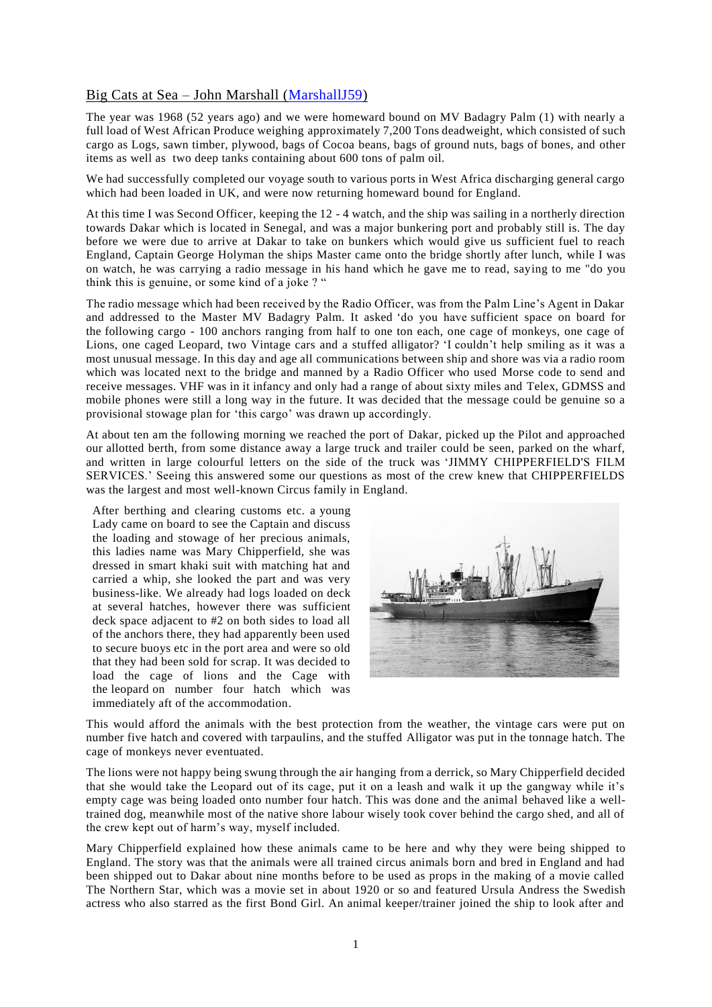## Big Cats at Sea – John Marshall [\(MarshallJ59\)](https://www.warsashassociation.net/site/members/view/marshallj59.htm)

The year was 1968 (52 years ago) and we were homeward bound on MV Badagry Palm (1) with nearly a full load of West African Produce weighing approximately 7,200 Tons deadweight, which consisted of such cargo as Logs, sawn timber, plywood, bags of Cocoa beans, bags of ground nuts, bags of bones, and other items as well as two deep tanks containing about 600 tons of palm oil.

We had successfully completed our voyage south to various ports in West Africa discharging general cargo which had been loaded in UK, and were now returning homeward bound for England.

At this time I was Second Officer, keeping the 12 - 4 watch, and the ship was sailing in a northerly direction towards Dakar which is located in Senegal, and was a major bunkering port and probably still is. The day before we were due to arrive at Dakar to take on bunkers which would give us sufficient fuel to reach England, Captain George Holyman the ships Master came onto the bridge shortly after lunch, while I was on watch, he was carrying a radio message in his hand which he gave me to read, saying to me "do you think this is genuine, or some kind of a joke ? "

The radio message which had been received by the Radio Officer, was from the Palm Line's Agent in Dakar and addressed to the Master MV Badagry Palm. It asked 'do you have sufficient space on board for the following cargo - 100 anchors ranging from half to one ton each, one cage of monkeys, one cage of Lions, one caged Leopard, two Vintage cars and a stuffed alligator? 'I couldn't help smiling as it was a most unusual message. In this day and age all communications between ship and shore was via a radio room which was located next to the bridge and manned by a Radio Officer who used Morse code to send and receive messages. VHF was in it infancy and only had a range of about sixty miles and Telex, GDMSS and mobile phones were still a long way in the future. It was decided that the message could be genuine so a provisional stowage plan for 'this cargo' was drawn up accordingly.

At about ten am the following morning we reached the port of Dakar, picked up the Pilot and approached our allotted berth, from some distance away a large truck and trailer could be seen, parked on the wharf, and written in large colourful letters on the side of the truck was 'JIMMY CHIPPERFIELD'S FILM SERVICES.' Seeing this answered some our questions as most of the crew knew that CHIPPERFIELDS was the largest and most well-known Circus family in England.

After berthing and clearing customs etc. a young Lady came on board to see the Captain and discuss the loading and stowage of her precious animals, this ladies name was Mary Chipperfield, she was dressed in smart khaki suit with matching hat and carried a whip, she looked the part and was very business-like. We already had logs loaded on deck at several hatches, however there was sufficient deck space adjacent to #2 on both sides to load all of the anchors there, they had apparently been used to secure buoys etc in the port area and were so old that they had been sold for scrap. It was decided to load the cage of lions and the Cage with the leopard on number four hatch which was immediately aft of the accommodation.



This would afford the animals with the best protection from the weather, the vintage cars were put on number five hatch and covered with tarpaulins, and the stuffed Alligator was put in the tonnage hatch. The cage of monkeys never eventuated.

The lions were not happy being swung through the air hanging from a derrick, so Mary Chipperfield decided that she would take the Leopard out of its cage, put it on a leash and walk it up the gangway while it's empty cage was being loaded onto number four hatch. This was done and the animal behaved like a welltrained dog, meanwhile most of the native shore labour wisely took cover behind the cargo shed, and all of the crew kept out of harm's way, myself included.

Mary Chipperfield explained how these animals came to be here and why they were being shipped to England. The story was that the animals were all trained circus animals born and bred in England and had been shipped out to Dakar about nine months before to be used as props in the making of a movie called The Northern Star, which was a movie set in about 1920 or so and featured Ursula Andress the Swedish actress who also starred as the first Bond Girl. An animal keeper/trainer joined the ship to look after and